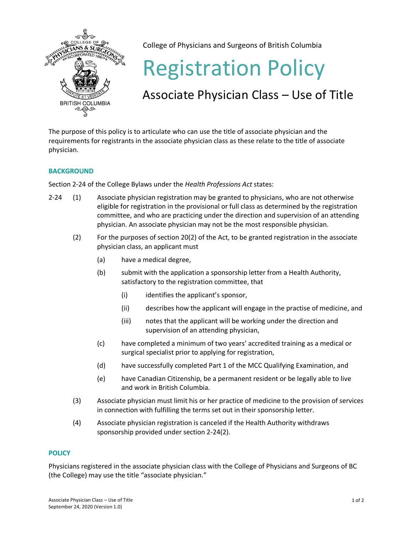

College of Physicians and Surgeons of British Columbia

# Registration Policy

# Associate Physician Class – Use of Title

The purpose of this policy is to articulate who can use the title of associate physician and the requirements for registrants in the associate physician class as these relate to the title of associate physician.

## **BACKGROUND**

Section 2-24 of the College Bylaws under the *Health Professions Act* states:

- 2-24 (1) Associate physician registration may be granted to physicians, who are not otherwise eligible for registration in the provisional or full class as determined by the registration committee, and who are practicing under the direction and supervision of an attending physician. An associate physician may not be the most responsible physician.
	- (2) For the purposes of section 20(2) of the Act, to be granted registration in the associate physician class, an applicant must
		- (a) have a medical degree,
		- (b) submit with the application a sponsorship letter from a Health Authority, satisfactory to the registration committee, that
			- (i) identifies the applicant's sponsor,
			- (ii) describes how the applicant will engage in the practise of medicine, and
			- (iii) notes that the applicant will be working under the direction and supervision of an attending physician,
		- (c) have completed a minimum of two years' accredited training as a medical or surgical specialist prior to applying for registration,
		- (d) have successfully completed Part 1 of the MCC Qualifying Examination, and
		- (e) have Canadian Citizenship, be a permanent resident or be legally able to live and work in British Columbia.
	- (3) Associate physician must limit his or her practice of medicine to the provision of services in connection with fulfilling the terms set out in their sponsorship letter.
	- (4) Associate physician registration is canceled if the Health Authority withdraws sponsorship provided under section 2-24(2).

### **POLICY**

Physicians registered in the associate physician class with the College of Physicians and Surgeons of BC (the College) may use the title "associate physician."